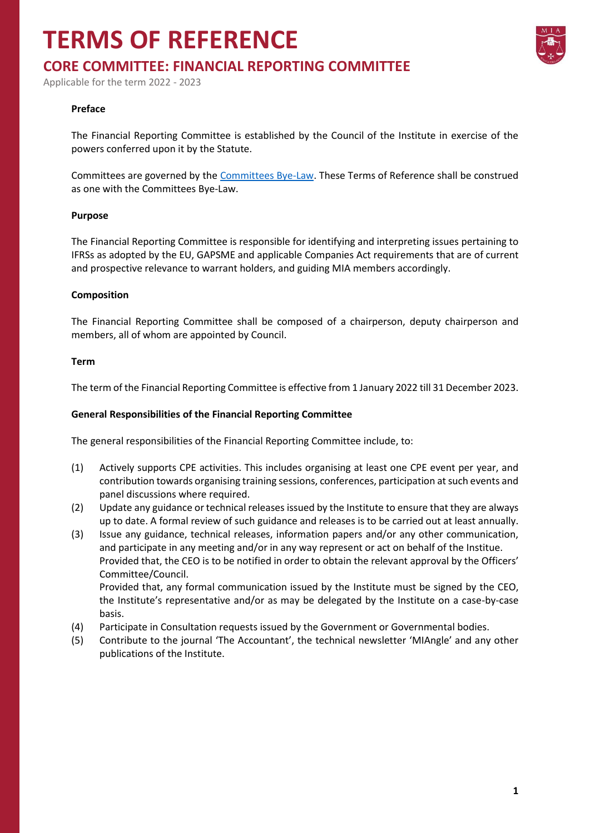## **TERMS OF REFERENCE**



Applicable for the term 2022 - 2023

#### **Preface**

The Financial Reporting Committee is established by the Council of the Institute in exercise of the powers conferred upon it by the Statute.

Committees are governed by the [Committees Bye-Law.](https://www.miamalta.org/Statute-and-Bye-Laws) These Terms of Reference shall be construed as one with the Committees Bye-Law.

#### **Purpose**

The Financial Reporting Committee is responsible for identifying and interpreting issues pertaining to IFRSs as adopted by the EU, GAPSME and applicable Companies Act requirements that are of current and prospective relevance to warrant holders, and guiding MIA members accordingly.

#### **Composition**

The Financial Reporting Committee shall be composed of a chairperson, deputy chairperson and members, all of whom are appointed by Council.

#### **Term**

The term of the Financial Reporting Committee is effective from 1 January 2022 till 31 December 2023.

#### **General Responsibilities of the Financial Reporting Committee**

The general responsibilities of the Financial Reporting Committee include, to:

- (1) Actively supports CPE activities. This includes organising at least one CPE event per year, and contribution towards organising training sessions, conferences, participation at such events and panel discussions where required.
- (2) Update any guidance or technical releases issued by the Institute to ensure that they are always up to date. A formal review of such guidance and releases is to be carried out at least annually.
- (3) Issue any guidance, technical releases, information papers and/or any other communication, and participate in any meeting and/or in any way represent or act on behalf of the Institue. Provided that, the CEO is to be notified in order to obtain the relevant approval by the Officers' Committee/Council.

Provided that, any formal communication issued by the Institute must be signed by the CEO, the Institute's representative and/or as may be delegated by the Institute on a case-by-case basis.

- (4) Participate in Consultation requests issued by the Government or Governmental bodies.
- (5) Contribute to the journal 'The Accountant', the technical newsletter 'MIAngle' and any other publications of the Institute.